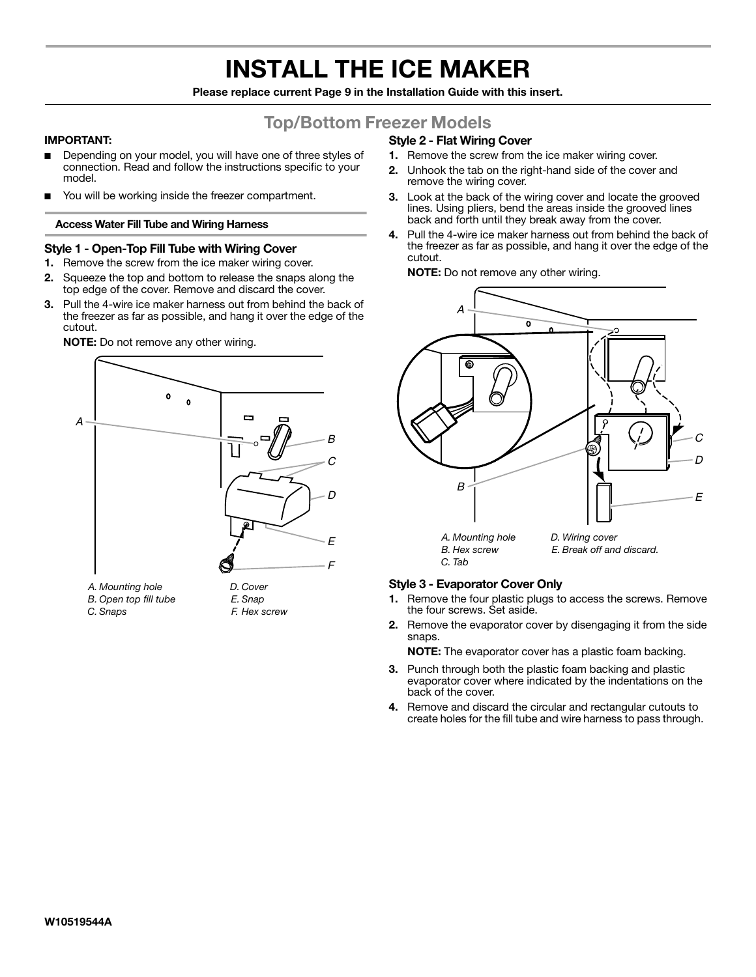# **INSTALL THE ICE MAKER**

**Please replace current Page 9 in the Installation Guide with this insert.**

# **Top/Bottom Freezer Models**

# **IMPORTANT:**

- Depending on your model, you will have one of three styles of connection. Read and follow the instructions specific to your model.
- You will be working inside the freezer compartment.

## **Access Water Fill Tube and Wiring Harness**

# **Style 1 - Open-Top Fill Tube with Wiring Cover**

- **1.** Remove the screw from the ice maker wiring cover.
- **2.** Squeeze the top and bottom to release the snaps along the top edge of the cover. Remove and discard the cover.
- **3.** Pull the 4-wire ice maker harness out from behind the back of the freezer as far as possible, and hang it over the edge of the cutout.



#### **NOTE:** Do not remove any other wiring.

# **Style 2 - Flat Wiring Cover**

- **1.** Remove the screw from the ice maker wiring cover.
- **2.** Unhook the tab on the right-hand side of the cover and remove the wiring cover.
- **3.** Look at the back of the wiring cover and locate the grooved lines. Using pliers, bend the areas inside the grooved lines back and forth until they break away from the cover.
- **4.** Pull the 4-wire ice maker harness out from behind the back of the freezer as far as possible, and hang it over the edge of the cutout.

**NOTE:** Do not remove any other wiring.



# **Style 3 - Evaporator Cover Only**

- **1.** Remove the four plastic plugs to access the screws. Remove the four screws. Set aside.
- **2.** Remove the evaporator cover by disengaging it from the side snaps.

**NOTE:** The evaporator cover has a plastic foam backing.

- **3.** Punch through both the plastic foam backing and plastic evaporator cover where indicated by the indentations on the back of the cover.
- **4.** Remove and discard the circular and rectangular cutouts to create holes for the fill tube and wire harness to pass through.